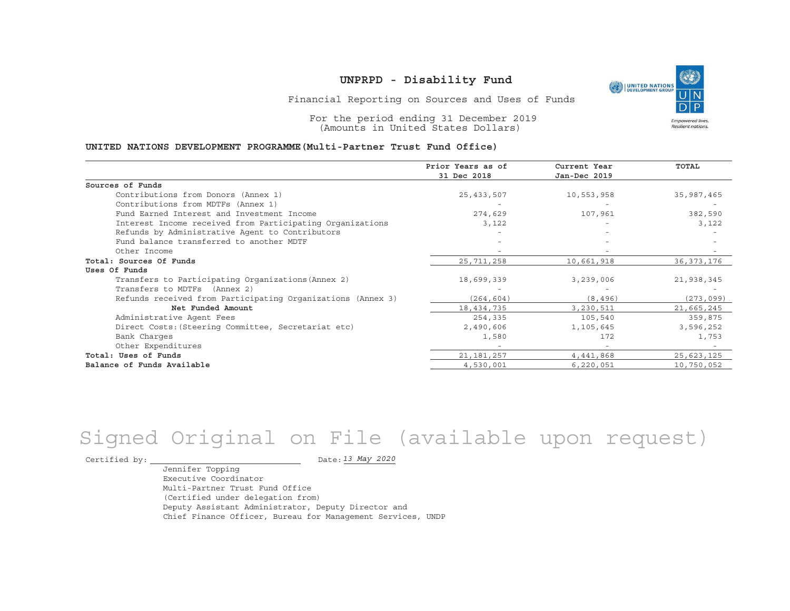

Financial Reporting on Sources and Uses of Funds

For the period ending 31 December 2019 (Amounts in United States Dollars)

#### **UNITED NATIONS DEVELOPMENT PROGRAMME(Multi-Partner Trust Fund Office)**

|                                                             | Prior Years as of | Current Year | <b>TOTAL</b> |
|-------------------------------------------------------------|-------------------|--------------|--------------|
|                                                             | 31 Dec 2018       | Jan-Dec 2019 |              |
| Sources of Funds                                            |                   |              |              |
| Contributions from Donors (Annex 1)                         | 25, 433, 507      | 10,553,958   | 35,987,465   |
| Contributions from MDTFs (Annex 1)                          |                   |              |              |
| Fund Earned Interest and Investment Income                  | 274,629           | 107,961      | 382,590      |
| Interest Income received from Participating Organizations   | 3,122             |              | 3,122        |
| Refunds by Administrative Agent to Contributors             |                   |              |              |
| Fund balance transferred to another MDTF                    |                   |              |              |
| Other Income                                                |                   |              |              |
| Total: Sources Of Funds                                     | 25,711,258        | 10,661,918   | 36, 373, 176 |
| Uses Of Funds                                               |                   |              |              |
| Transfers to Participating Organizations (Annex 2)          | 18,699,339        | 3,239,006    | 21,938,345   |
| Transfers to MDTFs (Annex 2)                                |                   |              |              |
| Refunds received from Participating Organizations (Annex 3) | (264, 604)        | (8, 496)     | (273, 099)   |
| Net Funded Amount                                           | 18,434,735        | 3,230,511    | 21,665,245   |
| Administrative Agent Fees                                   | 254,335           | 105,540      | 359,875      |
| Direct Costs: (Steering Committee, Secretariat etc)         | 2,490,606         | 1,105,645    | 3,596,252    |
| Bank Charges                                                | 1,580             | 172          | 1,753        |
| Other Expenditures                                          |                   |              |              |
| Total: Uses of Funds                                        | 21, 181, 257      | 4,441,868    | 25,623,125   |
| Balance of Funds Available                                  | 4,530,001         | 6,220,051    | 10,750,052   |

# Signed Original on File (available upon request)

Certified by:  $\overline{\phantom{a}}$ 

*13 May 2020*

Jennifer Topping Executive CoordinatorMulti-Partner Trust Fund Office(Certified under delegation from) Deputy Assistant Administrator, Deputy Director and Chief Finance Officer, Bureau for Management Services, UNDP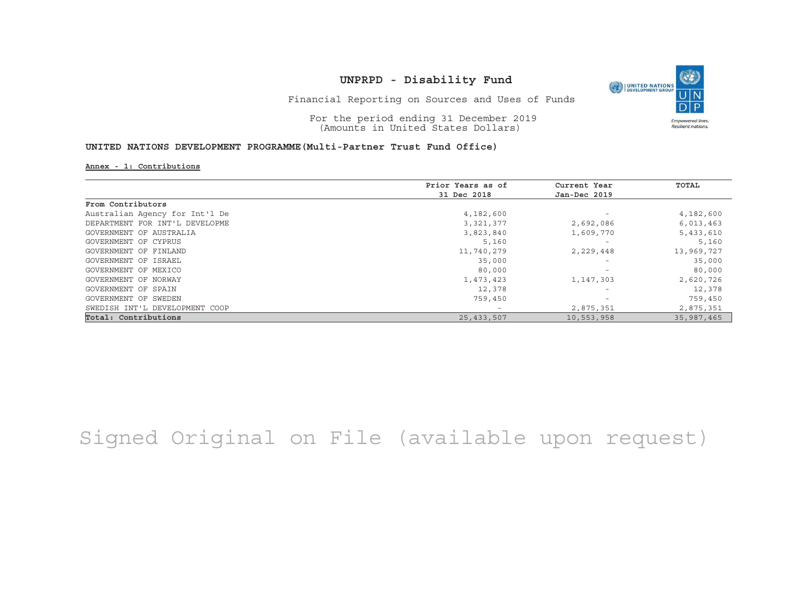

Financial Reporting on Sources and Uses of Funds

For the period ending 31 December 2019 (Amounts in United States Dollars)

### **UNITED NATIONS DEVELOPMENT PROGRAMME(Multi-Partner Trust Fund Office)**

#### **Annex - 1: Contributions**

|                                | Prior Years as of | Current Year             | TOTAL      |
|--------------------------------|-------------------|--------------------------|------------|
|                                | 31 Dec 2018       | Jan-Dec 2019             |            |
| From Contributors              |                   |                          |            |
| Australian Agency for Int'l De | 4,182,600         | $\overline{\phantom{0}}$ | 4,182,600  |
| DEPARTMENT FOR INT'L DEVELOPME | 3,321,377         | 2,692,086                | 6,013,463  |
| GOVERNMENT OF AUSTRALIA        | 3,823,840         | 1,609,770                | 5,433,610  |
| GOVERNMENT OF CYPRUS           | 5,160             | $\overline{\phantom{0}}$ | 5,160      |
| GOVERNMENT OF FINLAND          | 11,740,279        | 2,229,448                | 13,969,727 |
| GOVERNMENT OF ISRAEL           | 35,000            | $\overline{\phantom{0}}$ | 35,000     |
| GOVERNMENT OF MEXICO           | 80,000            | $\overline{\phantom{0}}$ | 80,000     |
| GOVERNMENT OF NORWAY           | 1,473,423         | 1,147,303                | 2,620,726  |
| GOVERNMENT OF SPAIN            | 12,378            | $\overline{\phantom{0}}$ | 12,378     |
| GOVERNMENT OF SWEDEN           | 759,450           | $\overline{\phantom{0}}$ | 759,450    |
| SWEDISH INT'L DEVELOPMENT COOP |                   | 2,875,351                | 2,875,351  |
| Total: Contributions           | 25, 433, 507      | 10,553,958               | 35,987,465 |

Signed Original on File (available upon request)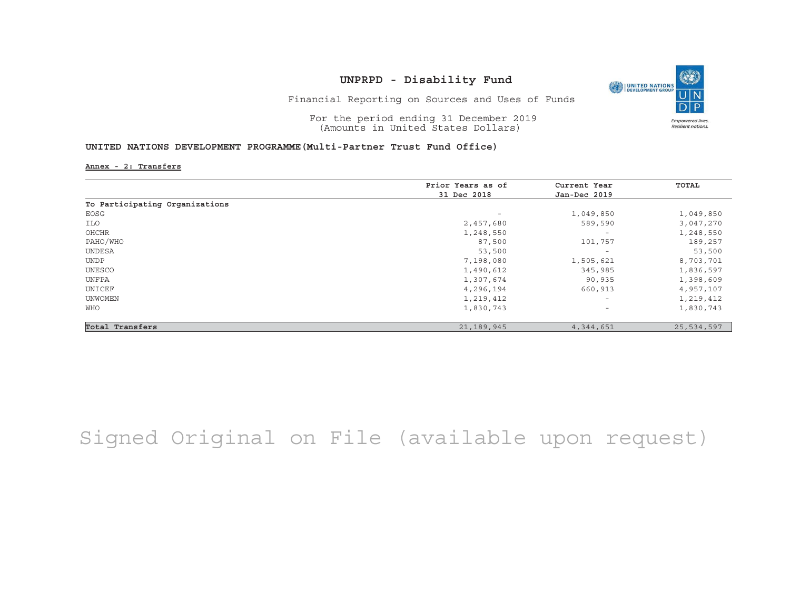

Financial Reporting on Sources and Uses of Funds

For the period ending 31 December 2019 (Amounts in United States Dollars)

#### **UNITED NATIONS DEVELOPMENT PROGRAMME(Multi-Partner Trust Fund Office)**

**Annex - 2: Transfers**

|                                | Prior Years as of        | Current Year                    | TOTAL      |
|--------------------------------|--------------------------|---------------------------------|------------|
|                                | 31 Dec 2018              | Jan-Dec 2019                    |            |
| To Participating Organizations |                          |                                 |            |
| EOSG                           | $\overline{\phantom{a}}$ | 1,049,850                       | 1,049,850  |
| ILO                            | 2,457,680                | 589,590                         | 3,047,270  |
| OHCHR                          | 1,248,550                | $\overline{\phantom{0}}$        | 1,248,550  |
| PAHO/WHO                       | 87,500                   | 101,757                         | 189,257    |
| <b>UNDESA</b>                  | 53,500                   | $\hspace{0.1mm}-\hspace{0.1mm}$ | 53,500     |
| <b>UNDP</b>                    | 7,198,080                | 1,505,621                       | 8,703,701  |
| UNESCO                         | 1,490,612                | 345,985                         | 1,836,597  |
| UNFPA                          | 1,307,674                | 90,935                          | 1,398,609  |
| UNICEF                         | 4,296,194                | 660,913                         | 4,957,107  |
| <b>UNWOMEN</b>                 | 1,219,412                | $\overline{\phantom{m}}$        | 1,219,412  |
| WHO                            | 1,830,743                | $\overline{\phantom{a}}$        | 1,830,743  |
| Total Transfers                | 21,189,945               | 4,344,651                       | 25,534,597 |

Signed Original on File (available upon request)